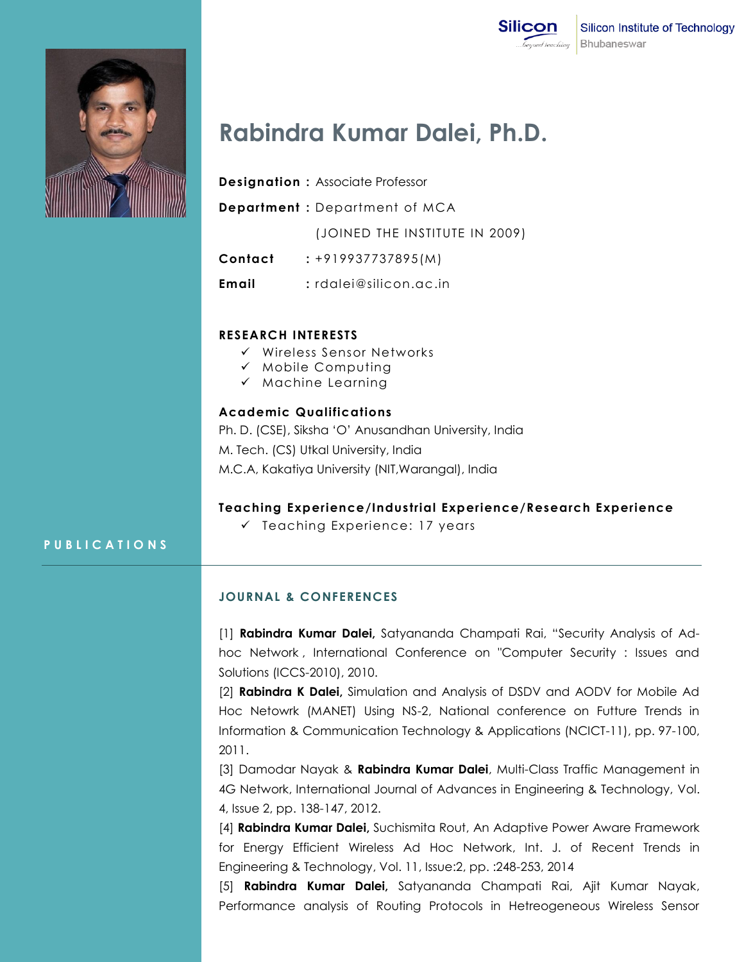



# **Rabindra Kumar Dalei, Ph.D.**

- **Designation :** Associate Professor
- **Department :** Department of MCA

(JOINED THE INSTITUTE IN 2009)

- **Contact :** +919937737895(M)
- **Email :** rdalei@silicon.ac.in

### **RESEARCH INTERESTS**

- $\checkmark$  Wireless Sensor Networks
- $\checkmark$  Mobile Computing
- $\checkmark$  Machine Learning

# **Academic Qualifications**

Ph. D. (CSE), Siksha "O" Anusandhan University, India M. Tech. (CS) Utkal University, India M.C.A, Kakatiya University (NIT,Warangal), India

#### **Teaching Experience/Industrial Experience/Research Experience**

 $\checkmark$  Teaching Experience: 17 years

# **P U B L I C A T I O N S**

#### **JOURNAL & CONFERENCES**

[1] **Rabindra Kumar Dalei,** Satyananda Champati Rai, "Security Analysis of Adhoc Network , International Conference on "Computer Security : Issues and Solutions (ICCS-2010), 2010.

[2] **Rabindra K Dalei,** Simulation and Analysis of DSDV and AODV for Mobile Ad Hoc Netowrk (MANET) Using NS-2, National conference on Futture Trends in Information & Communication Technology & Applications (NCICT-11), pp. 97-100, 2011.

[3] Damodar Nayak & **Rabindra Kumar Dalei**, Multi-Class Traffic Management in 4G Network, International Journal of Advances in Engineering & Technology, Vol. 4, Issue 2, pp. 138-147, 2012.

[4] **Rabindra Kumar Dalei,** Suchismita Rout, An Adaptive Power Aware Framework for Energy Efficient Wireless Ad Hoc Network, Int. J. of Recent Trends in Engineering & Technology, Vol. 11, Issue:2, pp. :248-253, 2014

[5] **Rabindra Kumar Dalei,** Satyananda Champati Rai, Ajit Kumar Nayak, Performance analysis of Routing Protocols in Hetreogeneous Wireless Sensor